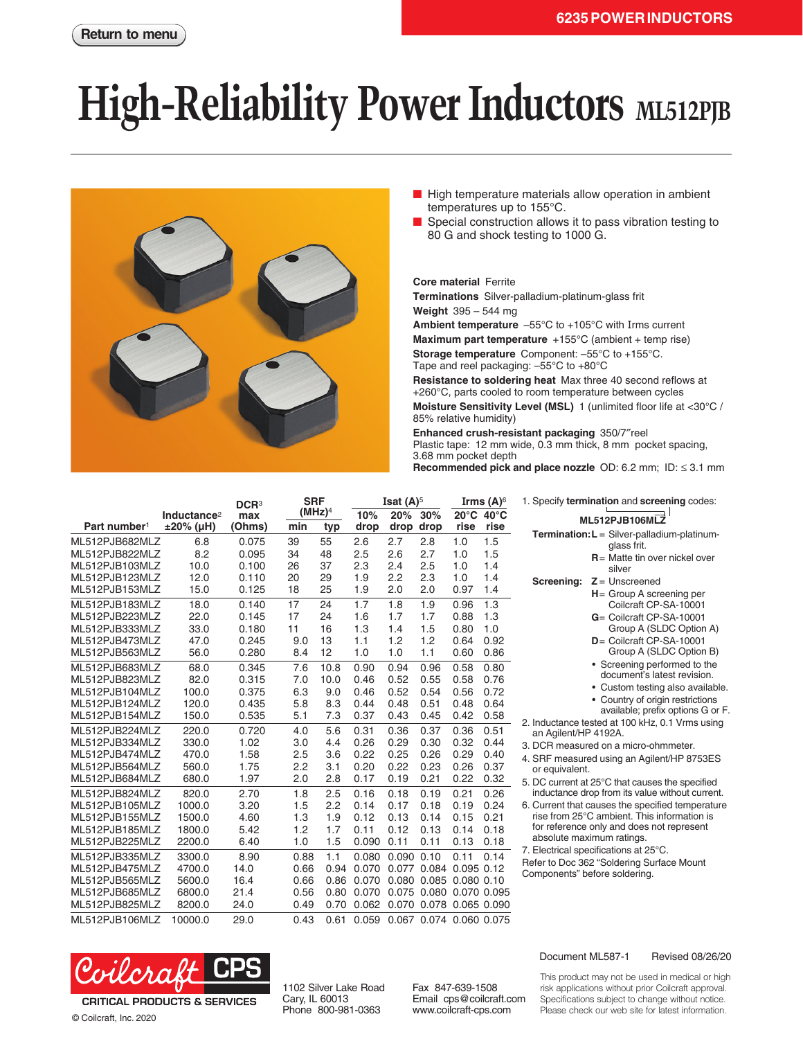## **High-Reliability Power Inductors** ML512PJB



- High temperature materials allow operation in ambient temperatures up to 155°C.
- Special construction allows it to pass vibration testing to 80 G and shock testing to 1000 G.

**Core material** Ferrite

**Terminations** Silver-palladium-platinum-glass frit **Weight** 395 – 544 mg **Ambient temperature** –55°C to +105°C with Irms current **Maximum part temperature** +155°C (ambient + temp rise) **Storage temperature** Component: –55°C to +155°C.

Tape and reel packaging: –55°C to +80°C

**Resistance to soldering heat** Max three 40 second reflows at +260°C, parts cooled to room temperature between cycles **Moisture Sensitivity Level (MSL)** 1 (unlimited floor life at <30°C / 85% relative humidity)

**Enhanced crush-resistant packaging** 350/7″reel Plastic tape: 12 mm wide, 0.3 mm thick, 8 mm pocket spacing, 3.68 mm pocket depth **Recommended pick and place nozzle** OD: 6.2 mm; ID: ≤ 3.1 mm

|                                  |                                      | DCR <sup>3</sup> | <b>SRF</b><br>(MHz) <sup>4</sup> |              | Isat $(A)^5$<br>20%<br>30%<br>10% |                               |                         | Irms $(A)^6$<br>$20^{\circ}$ C<br>$40^{\circ}$ C |              | 1. Specify termination and screening codes:                                                        |
|----------------------------------|--------------------------------------|------------------|----------------------------------|--------------|-----------------------------------|-------------------------------|-------------------------|--------------------------------------------------|--------------|----------------------------------------------------------------------------------------------------|
| Part number <sup>1</sup>         | Inductance <sup>2</sup><br>±20% (µH) | max<br>(Ohms)    | min                              | typ          | drop                              | drop                          | drop                    | rise                                             | rise         | ML512PJB106MLZ                                                                                     |
| ML512PJB682MLZ<br>ML512PJB822MLZ | 6.8<br>8.2                           | 0.075<br>0.095   | 39<br>34                         | 55<br>48     | 2.6<br>2.5                        | 2.7<br>2.6                    | 2.8<br>2.7              | 1.0<br>1.0                                       | 1.5<br>1.5   | Termination: L = Silver-palladium-platinum-<br>glass frit.                                         |
| ML512PJB103MLZ                   | 10.0                                 | 0.100            | 26                               | 37           | 2.3                               | 2.4                           | 2.5                     | 1.0                                              | 1.4          | $R =$ Matte tin over nickel over<br>silver                                                         |
| ML512PJB123MLZ<br>ML512PJB153MLZ | 12.0<br>15.0                         | 0.110<br>0.125   | 20<br>18                         | 29<br>25     | 1.9<br>1.9                        | 2.2<br>2.0                    | 2.3<br>2.0              | 1.0<br>0.97                                      | 1.4<br>1.4   | $Z =$ Unscreened<br>Screening:                                                                     |
| ML512PJB183MLZ                   | 18.0                                 | 0.140            | 17                               | 24           | 1.7                               | 1.8                           | 1.9                     | 0.96                                             | 1.3          | $H =$ Group A screening per<br>Coilcraft CP-SA-10001                                               |
| ML512PJB223MLZ                   | 22.0                                 | 0.145            | 17                               | 24           | 1.6                               | 1.7                           | 1.7                     | 0.88                                             | 1.3          | G= Coilcraft CP-SA-10001                                                                           |
| ML512PJB333MLZ<br>ML512PJB473MLZ | 33.0<br>47.0                         | 0.180<br>0.245   | 11<br>9.0                        | 16<br>13     | 1.3<br>1.1                        | 1.4<br>1.2                    | 1.5<br>1.2              | 0.80<br>0.64                                     | 1.0<br>0.92  | Group A (SLDC Option A)<br>$D =$ Coilcraft CP-SA-10001                                             |
| ML512PJB563MLZ                   | 56.0                                 | 0.280            | 8.4                              | 12           | 1.0                               | 1.0                           | 1.1                     | 0.60                                             | 0.86         | Group A (SLDC Option B)                                                                            |
| ML512PJB683MLZ<br>ML512PJB823MLZ | 68.0<br>82.0                         | 0.345<br>0.315   | 7.6<br>7.0                       | 10.8<br>10.0 | 0.90<br>0.46                      | 0.94<br>0.52                  | 0.96<br>0.55            | 0.58<br>0.58                                     | 0.80<br>0.76 | • Screening performed to the<br>document's latest revision.                                        |
| ML512PJB104MLZ<br>ML512PJB124MLZ | 100.0<br>120.0                       | 0.375<br>0.435   | 6.3<br>5.8                       | 9.0<br>8.3   | 0.46<br>0.44                      | 0.52<br>0.48                  | 0.54<br>0.51            | 0.56<br>0.48                                     | 0.72<br>0.64 | • Custom testing also available.<br>• Country of origin restrictions                               |
| ML512PJB154MLZ                   | 150.0                                | 0.535            | 5.1                              | 7.3          | 0.37                              | 0.43                          | 0.45                    | 0.42                                             | 0.58         | available; prefix options G or F.<br>2. Inductance tested at 100 kHz, 0.1 Vrms using               |
| ML512PJB224MLZ<br>ML512PJB334MLZ | 220.0<br>330.0                       | 0.720<br>1.02    | 4.0<br>3.0                       | 5.6<br>4.4   | 0.31<br>0.26                      | 0.36<br>0.29                  | 0.37<br>0.30            | 0.36<br>0.32                                     | 0.51<br>0.44 | an Agilent/HP 4192A.<br>3. DCR measured on a micro-ohmmeter.                                       |
| ML512PJB474MLZ                   | 470.0                                | 1.58             | 2.5                              | 3.6          | 0.22                              | 0.25                          | 0.26                    | 0.29                                             | 0.40         | 4. SRF measured using an Agilent/HP 8753ES                                                         |
| ML512PJB564MLZ<br>ML512PJB684MLZ | 560.0<br>680.0                       | 1.75<br>1.97     | 2.2<br>2.0                       | 3.1<br>2.8   | 0.20<br>0.17                      | 0.22<br>0.19                  | 0.23<br>0.21            | 0.26<br>0.22                                     | 0.37<br>0.32 | or equivalent.                                                                                     |
| ML512PJB824MLZ                   | 820.0                                | 2.70             | 1.8                              | 2.5          | 0.16                              | 0.18                          | 0.19                    | 0.21                                             | 0.26         | 5. DC current at 25°C that causes the specified<br>inductance drop from its value without current. |
| ML512PJB105MLZ                   | 1000.0                               | 3.20             | 1.5                              | 2.2          | 0.14                              | 0.17                          | 0.18                    | 0.19                                             | 0.24         | 6. Current that causes the specified temperature                                                   |
| ML512PJB155MLZ<br>ML512PJB185MLZ | 1500.0<br>1800.0                     | 4.60<br>5.42     | 1.3<br>1.2                       | 1.9<br>1.7   | 0.12<br>0.11                      | 0.13<br>0.12                  | 0.14<br>0.13            | 0.15<br>0.14                                     | 0.21<br>0.18 | rise from 25°C ambient. This information is<br>for reference only and does not represent           |
| ML512PJB225MLZ                   | 2200.0                               | 6.40             | 1.0                              | 1.5          | 0.090                             | 0.11                          | 0.11                    | 0.13                                             | 0.18         | absolute maximum ratings.                                                                          |
| ML512PJB335MLZ<br>ML512PJB475MLZ | 3300.0<br>4700.0                     | 8.90<br>14.0     | 0.88<br>0.66                     | 1.1<br>0.94  | 0.080<br>0.070                    | 0.090 0.10<br>0.077           |                         | 0.11<br>0.084 0.095 0.12                         | 0.14         | 7. Electrical specifications at 25°C.<br>Refer to Doc 362 "Soldering Surface Mount                 |
| ML512PJB565MLZ                   | 5600.0                               | 16.4             | 0.66                             | 0.86         | 0.070                             |                               | 0.080 0.085 0.080 0.10  |                                                  |              | Components" before soldering.                                                                      |
| ML512PJB685MLZ<br>ML512PJB825MLZ | 6800.0<br>8200.0                     | 21.4<br>24.0     | 0.56<br>0.49                     | 0.80<br>0.70 | 0.070                             | 0.062 0.070 0.078 0.065 0.090 | 0.075 0.080 0.070 0.095 |                                                  |              |                                                                                                    |
| ML512PJB106MLZ                   | 10000.0                              | 29.0             | 0.43                             | 0.61         |                                   | 0.059 0.067 0.074 0.060 0.075 |                         |                                                  |              |                                                                                                    |



© Coilcraft, Inc. 2020

1102 Silver Lake Road Cary, IL 60013 Phone 800-981-0363

Fax 847-639-1508 Email cps@coilcraft.com www.coilcraft-cps.com

## Document ML587-1 Revised 08/26/20

This product may not be used in medical or high risk applications without prior Coilcraft approval. Specifications subject to change without notice. Please check our web site for latest information.